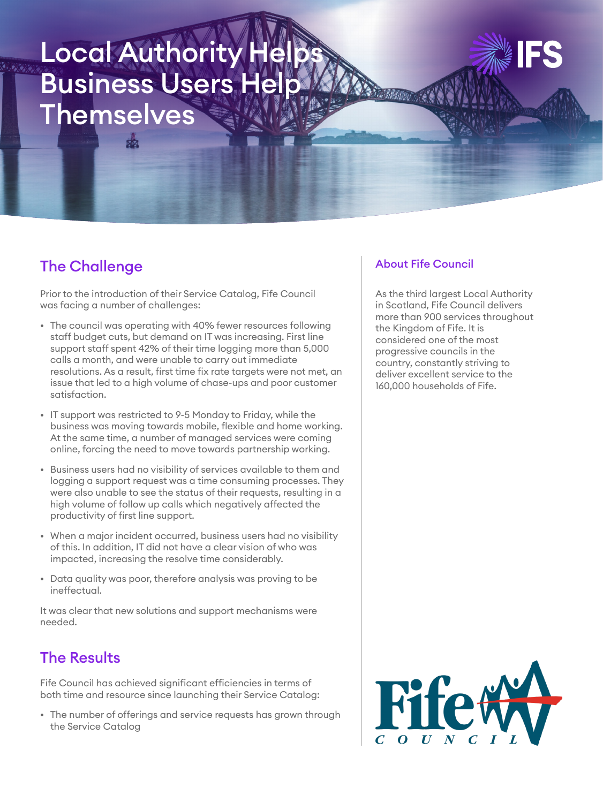# Local Authority H Business Users Help **Themselves**



### The Challenge

Prior to the introduction of their Service Catalog, Fife Council was facing a number of challenges:

- The council was operating with 40% fewer resources following staff budget cuts, but demand on IT was increasing. First line support staff spent 42% of their time logging more than 5,000 calls a month, and were unable to carry out immediate resolutions. As a result, first time fix rate targets were not met, an issue that led to a high volume of chase-ups and poor customer satisfaction.
- IT support was restricted to 9-5 Monday to Friday, while the business was moving towards mobile, flexible and home working. At the same time, a number of managed services were coming online, forcing the need to move towards partnership working.
- Business users had no visibility of services available to them and logging a support request was a time consuming processes. They were also unable to see the status of their requests, resulting in a high volume of follow up calls which negatively affected the productivity of first line support.
- When a major incident occurred, business users had no visibility of this. In addition, IT did not have a clear vision of who was impacted, increasing the resolve time considerably.
- Data quality was poor, therefore analysis was proving to be ineffectual.

It was clear that new solutions and support mechanisms were needed.

# The Results

Fife Council has achieved significant efficiencies in terms of both time and resource since launching their Service Catalog:

• The number of offerings and service requests has grown through the Service Catalog

#### About Fife Council

As the third largest Local Authority in Scotland, Fife Council delivers more than 900 services throughout the Kingdom of Fife. It is considered one of the most progressive councils in the country, constantly striving to deliver excellent service to the 160,000 households of Fife.